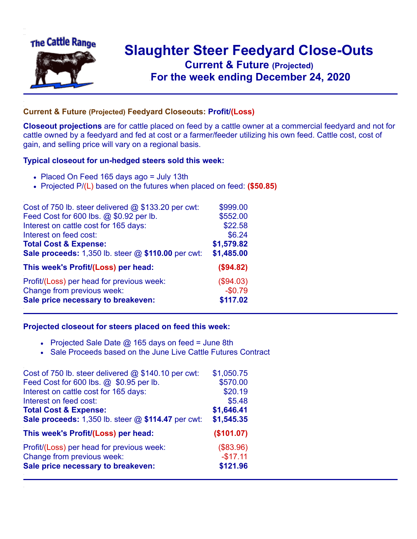

## **Slaughter Steer Feedyard Close-Outs Current & Future (Projected)** .**For the week ending December 24, 2020**

## **Current & Future (Projected) Feedyard Closeouts: Profit/(Loss)**

**Closeout projections** are for cattle placed on feed by a cattle owner at a commercial feedyard and not for cattle owned by a feedyard and fed at cost or a farmer/feeder utilizing his own feed. Cattle cost, cost of gain, and selling price will vary on a regional basis.

## **Typical closeout for un-hedged steers sold this week:**

- Placed On Feed 165 days ago = July 13th
- Projected P/(L) based on the futures when placed on feed: **(\$50.85)**

| Cost of 750 lb. steer delivered $@$ \$133.20 per cwt:  | \$999.00   |
|--------------------------------------------------------|------------|
| Feed Cost for 600 lbs. @ \$0.92 per lb.                | \$552.00   |
| Interest on cattle cost for 165 days:                  | \$22.58    |
| Interest on feed cost:                                 | \$6.24     |
| <b>Total Cost &amp; Expense:</b>                       | \$1,579.82 |
| Sale proceeds: $1,350$ lb. steer $@$ \$110.00 per cwt: | \$1,485.00 |
| This week's Profit/(Loss) per head:                    | (\$94.82)  |
| Profit/(Loss) per head for previous week:              | (\$94.03)  |
| Change from previous week:                             | $-$0.79$   |
| Sale price necessary to breakeven:                     | \$117.02   |

## **Projected closeout for steers placed on feed this week:**

- Projected Sale Date  $@$  165 days on feed = June 8th
- Sale Proceeds based on the June Live Cattle Futures Contract

| Cost of 750 lb. steer delivered $@$ \$140.10 per cwt: | \$1,050.75 |
|-------------------------------------------------------|------------|
| Feed Cost for 600 lbs. @ \$0.95 per lb.               | \$570.00   |
| Interest on cattle cost for 165 days:                 | \$20.19    |
| Interest on feed cost:                                | \$5.48     |
| <b>Total Cost &amp; Expense:</b>                      | \$1,646.41 |
| Sale proceeds: 1,350 lb. steer @ \$114.47 per cwt:    | \$1,545.35 |
| This week's Profit/(Loss) per head:                   | (\$101.07) |
| Profit/(Loss) per head for previous week:             | (\$83.96)  |
| Change from previous week:                            | $-$17.11$  |
| Sale price necessary to breakeven:                    | \$121.96   |